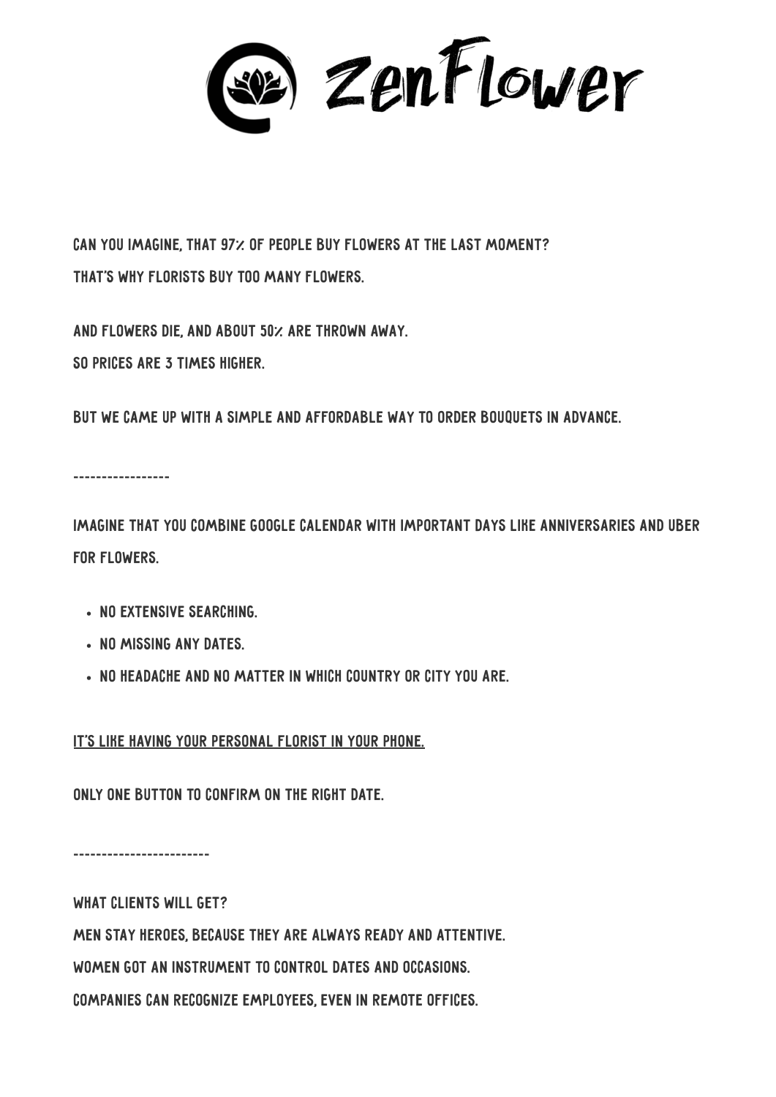se) zenFlower

Can you imagine, that 97% of people buy flowers at the last moment? That's why florists buy too many flowers.

And flowers die, and about 50% are thrown away. So prices are 3 times higher.

But we came up with a simple and affordable way to order bouquets in advance.

\_\_\_\_\_\_\_\_\_\_\_\_\_\_\_\_\_

Imagine that you combine Google Calendar with important days like anniversaries and Uber for flowers.

- No extensive searching.
- NO MISSING ANY DATES
- No headache and no matter in which country or city you are.

It's like having your personal florist in your phone.

Only one button to confirm on the right date.

\_\_\_\_\_\_\_\_\_\_\_\_\_\_\_\_\_\_\_\_\_\_\_\_

WHAT CLIENTS WILL GET? Men stay heroes, because they are always ready and attentive. Women got an instrument to control dates and occasions. Companies can recognize employees, even in remote offices.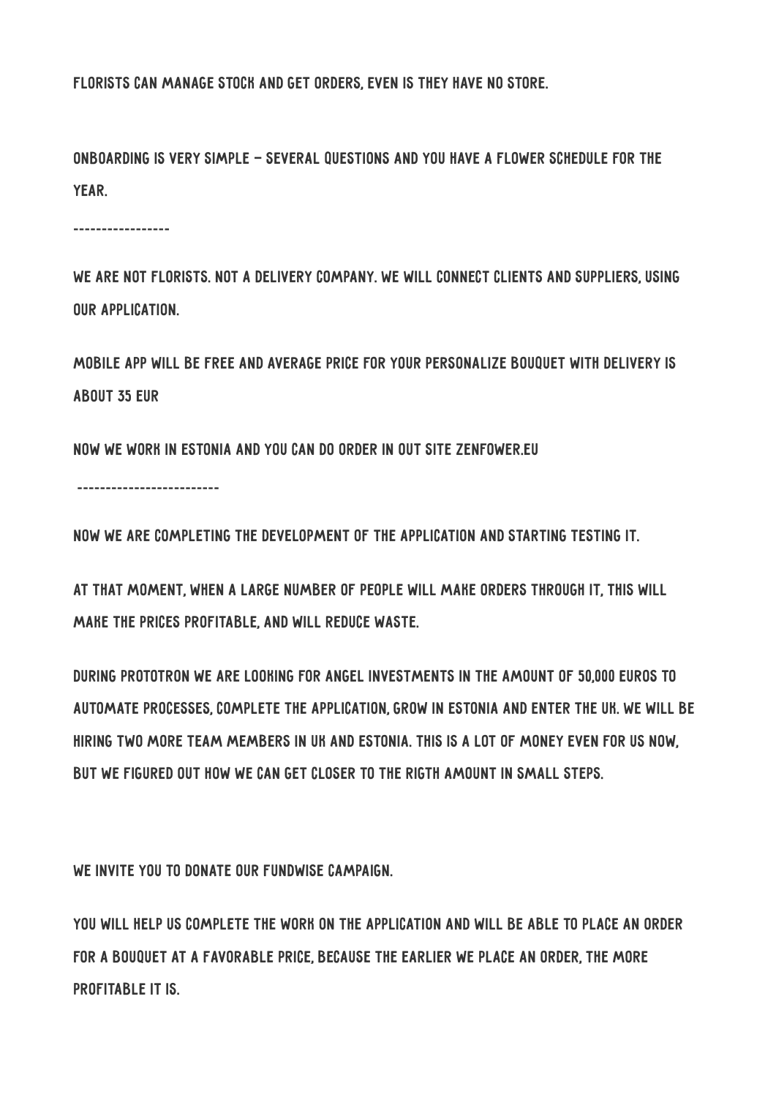Florists can manage stock and get orders, even is they have no store.

Onboarding is very simple — several questions and you have a flower schedule for the year.

\_\_\_\_\_\_\_\_\_\_\_\_\_\_\_\_\_

We are not florists. Not a delivery company. We will connect clients and suppliers, using our application.

Mobile app will be free and average price for your personalize bouquet with delivery is about 35 EUR

Now we work in Estonia and you can do order in out site ZenFower.eu

\_\_\_\_\_\_\_\_\_\_\_\_\_\_\_\_\_\_\_\_\_\_\_\_\_

Now we are completing the development of the application and starting testing it.

At that moment, when a large number of people will make orders through it, this will make the prices profitable, and will reduce waste.

During Prototron we are looking for angel investments in the amount of 50,000 euros to automate processes, complete the application, grow in Estonia and enter the UK. We will be hiring two more team members in UK and Estonia. This is a lot of money even for us now, but we figured out how we can get closer to the rigth amount in small steps.

WE INVITE YOU TO DONATE OUR FUNDWISE CAMPAIGN.

You will help us complete the work on the application and will be able to place an order for a bouquet at a favorable price, because the earlier we place an order, the more profitable it is.